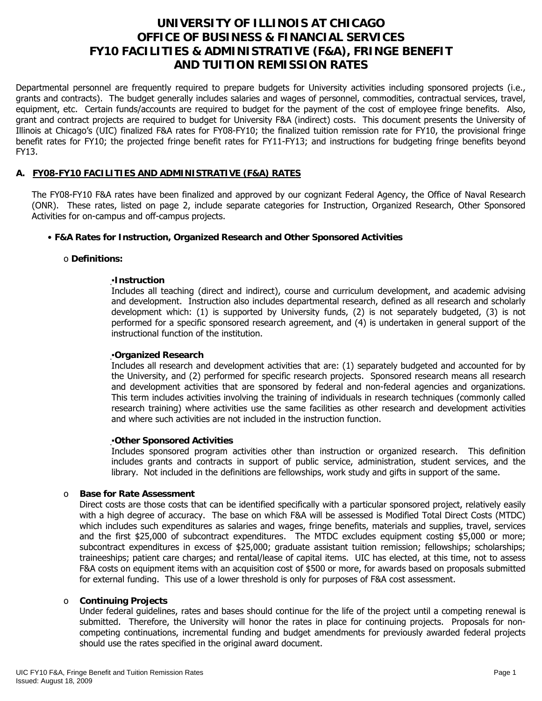# **UNIVERSITY OF ILLINOIS AT CHICAGO OFFICE OF BUSINESS & FINANCIAL SERVICES FY10 FACILITIES & ADMINISTRATIVE (F&A), FRINGE BENEFIT AND TUITION REMISSION RATES**

Departmental personnel are frequently required to prepare budgets for University activities including sponsored projects (i.e., grants and contracts). The budget generally includes salaries and wages of personnel, commodities, contractual services, travel, equipment, etc. Certain funds/accounts are required to budget for the payment of the cost of employee fringe benefits. Also, grant and contract projects are required to budget for University F&A (indirect) costs. This document presents the University of Illinois at Chicago's (UIC) finalized F&A rates for FY08-FY10; the finalized tuition remission rate for FY10, the provisional fringe benefit rates for FY10; the projected fringe benefit rates for FY11-FY13; and instructions for budgeting fringe benefits beyond FY13.

# **A. FY08-FY10 FACILITIES AND ADMINISTRATIVE (F&A) RATES**

The FY08-FY10 F&A rates have been finalized and approved by our cognizant Federal Agency, the Office of Naval Research (ONR). These rates, listed on page 2, include separate categories for Instruction, Organized Research, Other Sponsored Activities for on-campus and off-campus projects.

## • **F&A Rates for Instruction, Organized Research and Other Sponsored Activities**

#### o **Definitions:**

## ▪**Instruction**

Includes all teaching (direct and indirect), course and curriculum development, and academic advising and development. Instruction also includes departmental research, defined as all research and scholarly development which: (1) is supported by University funds, (2) is not separately budgeted, (3) is not performed for a specific sponsored research agreement, and (4) is undertaken in general support of the instructional function of the institution.

#### ▪**Organized Research**

Includes all research and development activities that are: (1) separately budgeted and accounted for by the University, and (2) performed for specific research projects. Sponsored research means all research and development activities that are sponsored by federal and non-federal agencies and organizations. This term includes activities involving the training of individuals in research techniques (commonly called research training) where activities use the same facilities as other research and development activities and where such activities are not included in the instruction function.

#### ▪**Other Sponsored Activities**

Includes sponsored program activities other than instruction or organized research. This definition includes grants and contracts in support of public service, administration, student services, and the library. Not included in the definitions are fellowships, work study and gifts in support of the same.

#### o **Base for Rate Assessment**

Direct costs are those costs that can be identified specifically with a particular sponsored project, relatively easily with a high degree of accuracy. The base on which F&A will be assessed is Modified Total Direct Costs (MTDC) which includes such expenditures as salaries and wages, fringe benefits, materials and supplies, travel, services and the first \$25,000 of subcontract expenditures. The MTDC excludes equipment costing \$5,000 or more; subcontract expenditures in excess of \$25,000; graduate assistant tuition remission; fellowships; scholarships; traineeships; patient care charges; and rental/lease of capital items. UIC has elected, at this time, not to assess F&A costs on equipment items with an acquisition cost of \$500 or more, for awards based on proposals submitted for external funding. This use of a lower threshold is only for purposes of F&A cost assessment.

#### o **Continuing Projects**

Under federal guidelines, rates and bases should continue for the life of the project until a competing renewal is submitted. Therefore, the University will honor the rates in place for continuing projects. Proposals for noncompeting continuations, incremental funding and budget amendments for previously awarded federal projects should use the rates specified in the original award document.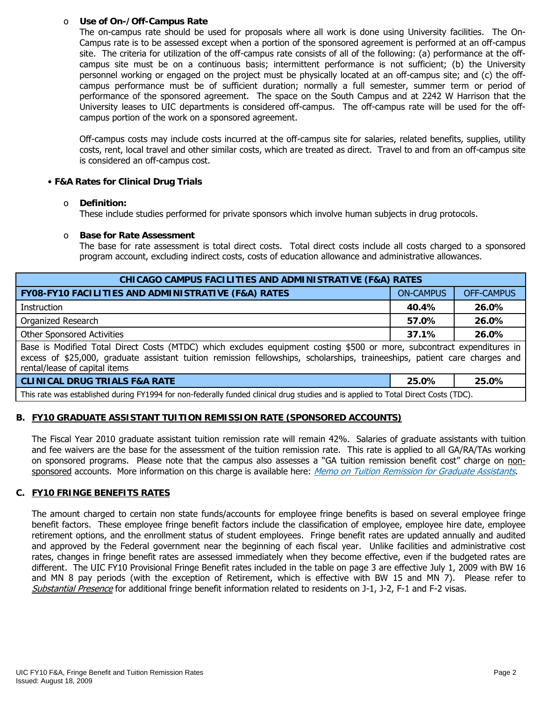## o **Use of On-/Off-Campus Rate**

The on-campus rate should be used for proposals where all work is done using University facilities. The On-Campus rate is to be assessed except when a portion of the sponsored agreement is performed at an off-campus site. The criteria for utilization of the off-campus rate consists of all of the following: (a) performance at the offcampus site must be on a continuous basis; intermittent performance is not sufficient; (b) the University personnel working or engaged on the project must be physically located at an off-campus site; and (c) the offcampus performance must be of sufficient duration; normally a full semester, summer term or period of performance of the sponsored agreement. The space on the South Campus and at 2242 W Harrison that the University leases to UIC departments is considered off-campus. The off-campus rate will be used for the offcampus portion of the work on a sponsored agreement.

Off-campus costs may include costs incurred at the off-campus site for salaries, related benefits, supplies, utility costs, rent, local travel and other similar costs, which are treated as direct. Travel to and from an off-campus site is considered an off-campus cost.

# • **F&A Rates for Clinical Drug Trials**

#### o **Definition:**

These include studies performed for private sponsors which involve human subjects in drug protocols.

## o **Base for Rate Assessment**

The base for rate assessment is total direct costs. Total direct costs include all costs charged to a sponsored program account, excluding indirect costs, costs of education allowance and administrative allowances.

| <b>CHICAGO CAMPUS FACILITIES AND ADMINISTRATIVE (F&amp;A) RATES</b>                                                                                                                                                                                                                   |                  |                   |  |  |  |  |
|---------------------------------------------------------------------------------------------------------------------------------------------------------------------------------------------------------------------------------------------------------------------------------------|------------------|-------------------|--|--|--|--|
| FY08-FY10 FACILITIES AND ADMINISTRATIVE (F&A) RATES                                                                                                                                                                                                                                   | <b>ON-CAMPUS</b> | <b>OFF-CAMPUS</b> |  |  |  |  |
| Instruction                                                                                                                                                                                                                                                                           | 40.4%            | 26.0%             |  |  |  |  |
| Organized Research                                                                                                                                                                                                                                                                    | 26.0%<br>57.0%   |                   |  |  |  |  |
| <b>Other Sponsored Activities</b>                                                                                                                                                                                                                                                     | 26.0%<br>37.1%   |                   |  |  |  |  |
| Base is Modified Total Direct Costs (MTDC) which excludes equipment costing \$500 or more, subcontract expenditures in<br>excess of \$25,000, graduate assistant tuition remission fellowships, scholarships, traineeships, patient care charges and<br>rental/lease of capital items |                  |                   |  |  |  |  |
| <b>CLINICAL DRUG TRIALS F&amp;A RATE</b>                                                                                                                                                                                                                                              | 25.0%            | 25.0%             |  |  |  |  |
| This rate was established during FY1994 for non-federally funded clinical drug studies and is applied to Total Direct Costs (TDC).                                                                                                                                                    |                  |                   |  |  |  |  |

# **B. FY10 GRADUATE ASSISTANT TUITION REMISSION RATE (SPONSORED ACCOUNTS)**

The Fiscal Year 2010 graduate assistant tuition remission rate will remain 42%. Salaries of graduate assistants with tuition and fee waivers are the base for the assessment of the tuition remission rate. This rate is applied to all GA/RA/TAs working on sponsored programs. Please note that the campus also assesses a "GA tuition remission benefit cost" charge on non-sponsored accounts. More information on this charge is available here: [Memo on Tuition Remission for Graduate Assistants](https://www.obfs.uillinois.edu/common/pages/DisplayFile.aspx?itemId=436386).

#### **C. FY10 FRINGE BENEFITS RATES**

The amount charged to certain non state funds/accounts for employee fringe benefits is based on several employee fringe benefit factors. These employee fringe benefit factors include the classification of employee, employee hire date, employee retirement options, and the enrollment status of student employees. Fringe benefit rates are updated annually and audited and approved by the Federal government near the beginning of each fiscal year. Unlike facilities and administrative cost rates, changes in fringe benefit rates are assessed immediately when they become effective, even if the budgeted rates are different. The UIC FY10 Provisional Fringe Benefit rates included in the table on page 3 are effective July 1, 2009 with BW 16 and MN 8 pay periods (with the exception of Retirement, which is effective with BW 15 and MN 7). Please refer to [Substantial Presence](http://www.uic.edu/com/gme/rpm_comp___benefits.htm#real_substantial_pres) for additional fringe benefit information related to residents on J-1, J-2, F-1 and F-2 visas.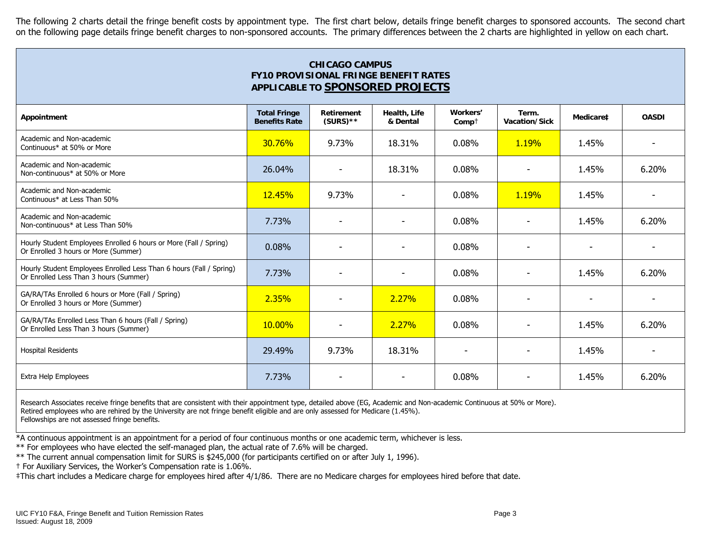The following 2 charts detail the fringe benefit costs by appointment type. The first chart below, details fringe benefit charges to sponsored accounts. The second chart on the following page details fringe benefit charges to non-sponsored accounts. The primary differences between the 2 charts are highlighted in yellow on each chart.

| <b>CHICAGO CAMPUS</b><br><b>FY10 PROVISIONAL FRINGE BENEFIT RATES</b><br>APPLICABLE TO SPONSORED PROJECTS     |                                             |                           |                          |                          |                          |           |                |
|---------------------------------------------------------------------------------------------------------------|---------------------------------------------|---------------------------|--------------------------|--------------------------|--------------------------|-----------|----------------|
| Appointment                                                                                                   | <b>Total Fringe</b><br><b>Benefits Rate</b> | Retirement<br>$(SURS)$ ** | Health, Life<br>& Dental | Workers'<br>$Comp+$      | Term.<br>Vacation/Sick   | Medicare‡ | <b>OASDI</b>   |
| Academic and Non-academic<br>Continuous* at 50% or More                                                       | <b>30.76%</b>                               | 9.73%                     | 18.31%                   | 0.08%                    | 1.19%                    | 1.45%     |                |
| Academic and Non-academic<br>Non-continuous* at 50% or More                                                   | 26.04%                                      | $\overline{\phantom{a}}$  | 18.31%                   | 0.08%                    | $\overline{\phantom{a}}$ | 1.45%     | 6.20%          |
| Academic and Non-academic<br>Continuous* at Less Than 50%                                                     | <b>12.45%</b>                               | 9.73%                     | ٠                        | 0.08%                    | 1.19%                    | 1.45%     |                |
| Academic and Non-academic<br>Non-continuous* at Less Than 50%                                                 | 7.73%                                       | $\overline{\phantom{a}}$  | $\overline{\phantom{0}}$ | 0.08%                    | $\overline{\phantom{a}}$ | 1.45%     | 6.20%          |
| Hourly Student Employees Enrolled 6 hours or More (Fall / Spring)<br>Or Enrolled 3 hours or More (Summer)     | 0.08%                                       |                           |                          | 0.08%                    |                          |           |                |
| Hourly Student Employees Enrolled Less Than 6 hours (Fall / Spring)<br>Or Enrolled Less Than 3 hours (Summer) | 7.73%                                       | $\overline{\phantom{a}}$  |                          | 0.08%                    |                          | 1.45%     | 6.20%          |
| GA/RA/TAs Enrolled 6 hours or More (Fall / Spring)<br>Or Enrolled 3 hours or More (Summer)                    | 2.35%                                       |                           | 2.27%                    | 0.08%                    | $\blacksquare$           | ٠         | $\overline{a}$ |
| GA/RA/TAs Enrolled Less Than 6 hours (Fall / Spring)<br>Or Enrolled Less Than 3 hours (Summer)                | 10.00%                                      | $\overline{\phantom{a}}$  | 2.27%                    | 0.08%                    | $\overline{\phantom{a}}$ | 1.45%     | 6.20%          |
| <b>Hospital Residents</b>                                                                                     | 29.49%                                      | 9.73%                     | 18.31%                   | $\overline{\phantom{a}}$ | ٠                        | 1.45%     | $\blacksquare$ |
| Extra Help Employees                                                                                          | 7.73%                                       |                           |                          | 0.08%                    |                          | 1.45%     | 6.20%          |

Research Associates receive fringe benefits that are consistent with their appointment type, detailed above (EG, Academic and Non-academic Continuous at 50% or More). Retired employees who are rehired by the University are not fringe benefit eligible and are only assessed for Medicare (1.45%). Fellowships are not assessed fringe benefits.

\*A continuous appointment is an appointment for a period of four continuous months or one academic term, whichever is less.

\*\* For employees who have elected the self-managed plan, the actual rate of 7.6% will be charged.

\*\* The current annual compensation limit for SURS is \$245,000 (for participants certified on or after July 1, 1996).

† For Auxiliary Services, the Worker's Compensation rate is 1.06%.

‡This chart includes a Medicare charge for employees hired after 4/1/86. There are no Medicare charges for employees hired before that date.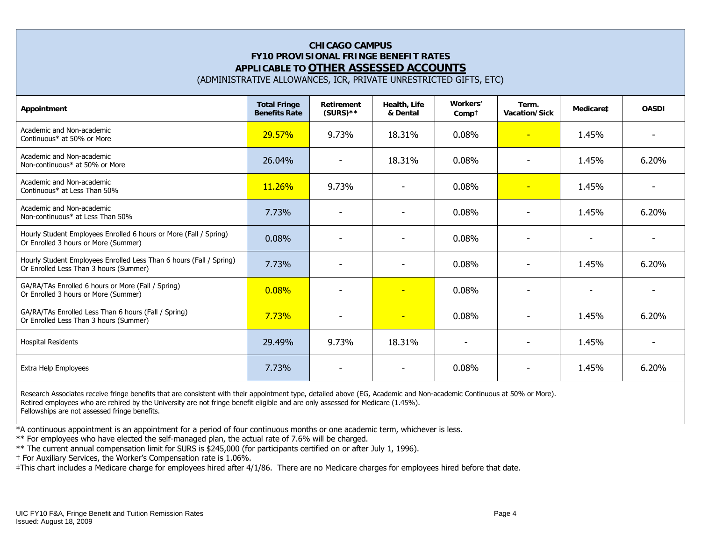# **CHICAGO CAMPUS FY10 PROVISIONAL FRINGE BENEFIT RATES APPLICABLE TO OTHER ASSESSED ACCOUNTS**

(ADMINISTRATIVE ALLOWANCES, ICR, PRIVATE UNRESTRICTED GIFTS, ETC)

| Appointment                                                                                                   | <b>Total Fringe</b><br><b>Benefits Rate</b> | <b>Retirement</b><br>$(SURS)$ ** | Health, Life<br>& Dental | Workers'<br>$Comp+$ | Term.<br>Vacation/Sick   | Medicare‡                | <b>OASDI</b>             |
|---------------------------------------------------------------------------------------------------------------|---------------------------------------------|----------------------------------|--------------------------|---------------------|--------------------------|--------------------------|--------------------------|
| Academic and Non-academic<br>Continuous* at 50% or More                                                       | 29.57%                                      | 9.73%                            | 18.31%                   | 0.08%               | $\overline{\phantom{0}}$ | 1.45%                    |                          |
| Academic and Non-academic<br>Non-continuous* at 50% or More                                                   | 26.04%                                      | $\overline{\phantom{0}}$         | 18.31%                   | 0.08%               | $\overline{\phantom{0}}$ | 1.45%                    | 6.20%                    |
| Academic and Non-academic<br>Continuous* at Less Than 50%                                                     | 11.26%                                      | 9.73%                            | ۰                        | 0.08%               | $\blacksquare$           | 1.45%                    |                          |
| Academic and Non-academic<br>Non-continuous* at Less Than 50%                                                 | 7.73%                                       |                                  |                          | 0.08%               |                          | 1.45%                    | 6.20%                    |
| Hourly Student Employees Enrolled 6 hours or More (Fall / Spring)<br>Or Enrolled 3 hours or More (Summer)     | 0.08%                                       |                                  | ٠                        | 0.08%               |                          |                          |                          |
| Hourly Student Employees Enrolled Less Than 6 hours (Fall / Spring)<br>Or Enrolled Less Than 3 hours (Summer) | 7.73%                                       |                                  | ۰                        | 0.08%               | $\overline{\phantom{0}}$ | 1.45%                    | 6.20%                    |
| GA/RA/TAs Enrolled 6 hours or More (Fall / Spring)<br>Or Enrolled 3 hours or More (Summer)                    | 0.08%                                       | $\overline{\phantom{a}}$         | $\equiv$                 | 0.08%               | $\overline{\phantom{a}}$ | $\overline{\phantom{a}}$ | $\overline{\phantom{0}}$ |
| GA/RA/TAs Enrolled Less Than 6 hours (Fall / Spring)<br>Or Enrolled Less Than 3 hours (Summer)                | 7.73%                                       |                                  | $\overline{\phantom{a}}$ | 0.08%               |                          | 1.45%                    | 6.20%                    |
| <b>Hospital Residents</b>                                                                                     | 29.49%                                      | 9.73%                            | 18.31%                   | ٠                   |                          | 1.45%                    |                          |
| Extra Help Employees                                                                                          | 7.73%                                       |                                  |                          | 0.08%               |                          | 1.45%                    | 6.20%                    |

Research Associates receive fringe benefits that are consistent with their appointment type, detailed above (EG, Academic and Non-academic Continuous at 50% or More). Retired employees who are rehired by the University are not fringe benefit eligible and are only assessed for Medicare (1.45%). Fellowships are not assessed fringe benefits.

\*A continuous appointment is an appointment for a period of four continuous months or one academic term, whichever is less.

\*\* For employees who have elected the self-managed plan, the actual rate of 7.6% will be charged.

\*\* The current annual compensation limit for SURS is \$245,000 (for participants certified on or after July 1, 1996).

† For Auxiliary Services, the Worker's Compensation rate is 1.06%.

‡This chart includes a Medicare charge for employees hired after 4/1/86. There are no Medicare charges for employees hired before that date.